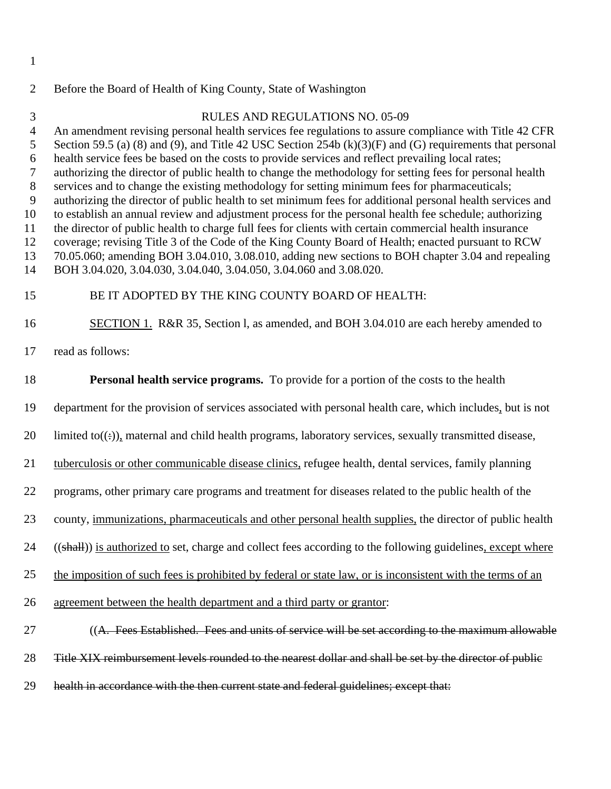## 2 Before the Board of Health of King County, State of Washington

## RULES AND REGULATIONS NO. 05-09

4 An amendment revising personal health services fee regulations to assure compliance with Title 42 CFR

5 6 Section 59.5 (a) (8) and (9), and Title 42 USC Section 254b (k)(3)(F) and (G) requirements that personal health service fees be based on the costs to provide services and reflect prevailing local rates;

7 authorizing the director of public health to change the methodology for setting fees for personal health

8 services and to change the existing methodology for setting minimum fees for pharmaceuticals;

9 authorizing the director of public health to set minimum fees for additional personal health services and

10 11 to establish an annual review and adjustment process for the personal health fee schedule; authorizing the director of public health to charge full fees for clients with certain commercial health insurance

12 coverage; revising Title 3 of the Code of the King County Board of Health; enacted pursuant to RCW

13 70.05.060; amending BOH 3.04.010, 3.08.010, adding new sections to BOH chapter 3.04 and repealing

14 BOH 3.04.020, 3.04.030, 3.04.040, 3.04.050, 3.04.060 and 3.08.020.

## 15 BE IT ADOPTED BY THE KING COUNTY BOARD OF HEALTH:

SECTION 1. R&R 35, Section l, as amended, and BOH 3.04.010 are each hereby amended to 16

read as follows: 17

1

3

18 **Personal health service programs.** To provide for a portion of the costs to the health

department for the provision of services associated with personal health care, which includes, but is not 19

 $20$  limited to( $(\div)$ ), maternal and child health programs, laboratory services, sexually transmitted disease,

tuberculosis or other communicable disease clinics, refugee health, dental services, family planning 21

programs, other primary care programs and treatment for diseases related to the public health of the 22

county, immunizations, pharmaceuticals and other personal health supplies, the director of public health 23

24 ((shall)) is authorized to set, charge and collect fees according to the following guidelines, except where

25 the imposition of such fees is prohibited by federal or state law, or is inconsistent with the terms of an

26 agreement between the health department and a third party or grantor:

27 ((A. Fees Established. Fees and units of service will be set according to the maximum allowable

28 Title XIX reimbursement levels rounded to the nearest dollar and shall be set by the director of public

29 health in accordance with the then current state and federal guidelines; except that: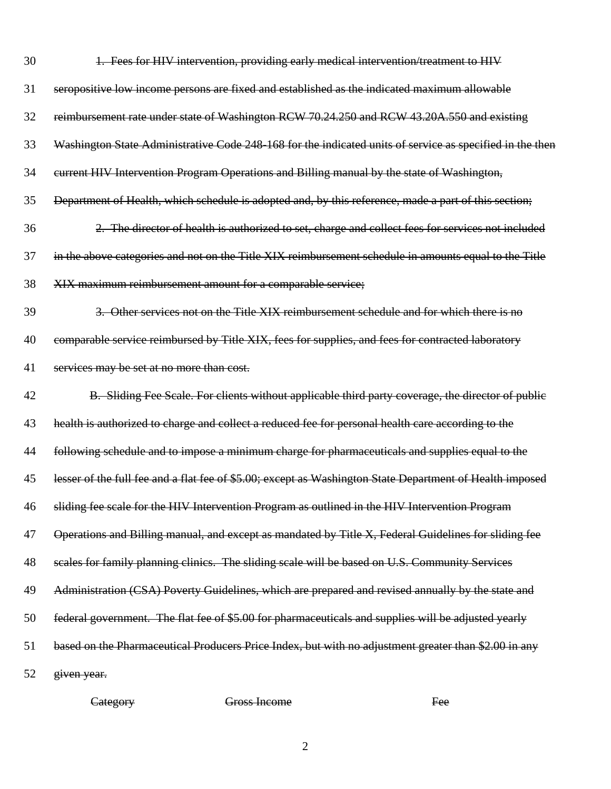| 30 | 1. Fees for HIV intervention, providing early medical intervention/treatment to HIV                      |
|----|----------------------------------------------------------------------------------------------------------|
| 31 | seropositive low income persons are fixed and established as the indicated maximum allowable             |
| 32 | reimbursement rate under state of Washington RCW 70.24.250 and RCW 43.20A.550 and existing               |
| 33 | Washington State Administrative Code 248-168 for the indicated units of service as specified in the then |
| 34 | eurrent HIV Intervention Program Operations and Billing manual by the state of Washington,               |
| 35 | Department of Health, which schedule is adopted and, by this reference, made a part of this section;     |
| 36 | 2. The director of health is authorized to set, charge and collect fees for services not included        |
| 37 | in the above categories and not on the Title XIX reimbursement schedule in amounts equal to the Title    |
| 38 | XIX maximum reimbursement amount for a comparable service;                                               |
| 39 | 3. Other services not on the Title XIX reimbursement schedule and for which there is no                  |
| 40 | comparable service reimbursed by Title XIX, fees for supplies, and fees for contracted laboratory        |
| 41 | services may be set at no more than cost.                                                                |
| 42 | B. Sliding Fee Scale. For clients without applicable third party coverage, the director of public        |
| 43 | health is authorized to charge and collect a reduced fee for personal health care according to the       |
| 44 | following schedule and to impose a minimum charge for pharmaceuticals and supplies equal to the          |
| 45 | lesser of the full fee and a flat fee of \$5.00; except as Washington State Department of Health imposed |
| 46 | sliding fee scale for the HIV Intervention Program as outlined in the HIV Intervention Program           |
| 47 | Operations and Billing manual, and except as mandated by Title X, Federal Guidelines for sliding fee     |
| 48 | scales for family planning clinics. The sliding scale will be based on U.S. Community Services           |
| 49 | Administration (CSA) Poverty Guidelines, which are prepared and revised annually by the state and        |
| 50 | federal government. The flat fee of \$5.00 for pharmaceuticals and supplies will be adjusted yearly      |
| 51 | based on the Pharmaceutical Producers Price Index, but with no adjustment greater than \$2.00 in any     |
| 52 | given year.                                                                                              |

Category Gross Income Fee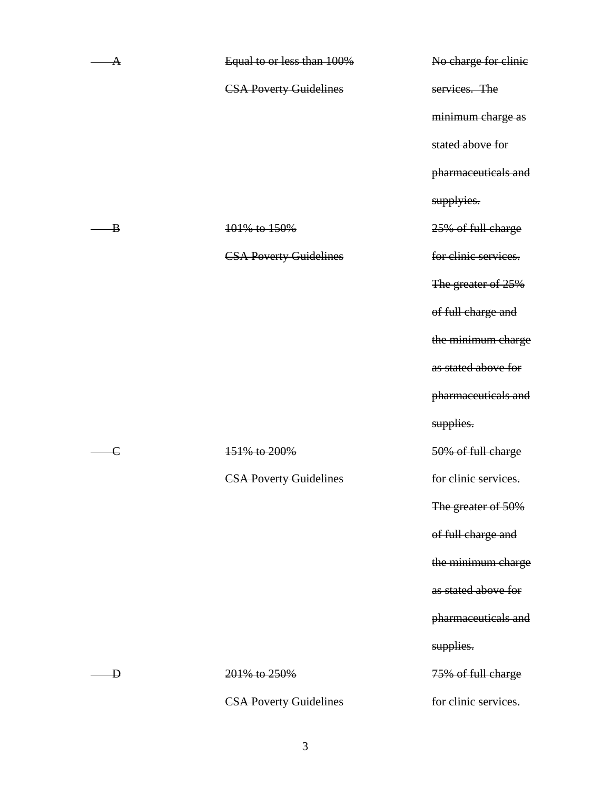| А            | Equal to or less than 100%    | No charge for clinic |
|--------------|-------------------------------|----------------------|
|              | <b>CSA Poverty Guidelines</b> | services. The        |
|              |                               | minimum charge as    |
|              |                               | stated above for     |
|              |                               | pharmaceuticals and  |
|              |                               | supplyies.           |
| $\bf{B}$     | 101% to 150%                  | 25% of full charge   |
|              | <b>CSA Poverty Guidelines</b> | for clinic services. |
|              |                               | The greater of 25%   |
|              |                               | of full charge and   |
|              |                               | the minimum charge   |
|              |                               | as stated above for  |
|              |                               | pharmaceuticals and  |
|              |                               | supplies.            |
| $\mathsf{c}$ | 151% to 200%                  | 50% of full charge   |
|              | <b>CSA Poverty Guidelines</b> | for clinic services. |
|              |                               | The greater of 50%   |
|              |                               | of full charge and   |
|              |                               | the minimum charge   |
|              |                               | as stated above for  |
|              |                               | pharmaceuticals and  |
|              |                               | supplies.            |
| Ð            | 201% to 250%                  | 75% of full charge   |
|              | <b>CSA Poverty Guidelines</b> | for clinic services. |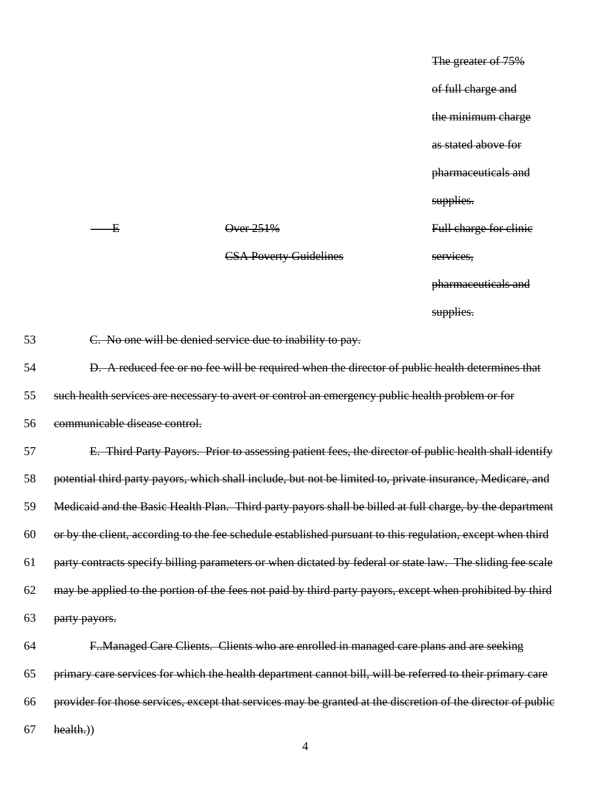The greater of 75% of full charge and the minimum charge as stated above for pharmaceuticals and supplies. Full charge for clinic services, pharmaceuticals and supplies.

53 C. No one will be denied service due to inability to pay. 54 D. A reduced fee or no fee will be required when the director of public health determines that 55 such health services are necessary to avert or control an emergency public health problem or for 56 communicable disease control. 57 E. Third Party Payors. Prior to assessing patient fees, the director of public health shall identify 58 potential third party payors, which shall include, but not be limited to, private insurance, Medicare, and 59 Medicaid and the Basic Health Plan. Third party payors shall be billed at full charge, by the department 60 or by the client, according to the fee schedule established pursuant to this regulation, except when third 61 party contracts specify billing parameters or when dictated by federal or state law. The sliding fee scale 62 may be applied to the portion of the fees not paid by third party payors, except when prohibited by third 63 party payors. 64 F..Managed Care Clients. Clients who are enrolled in managed care plans and are seeking 65 primary care services for which the health department cannot bill, will be referred to their primary care 66 provider for those services, except that services may be granted at the discretion of the director of public  $67$  health.)

CSA Poverty Guidelines

 $\overline{E}$  Over 251%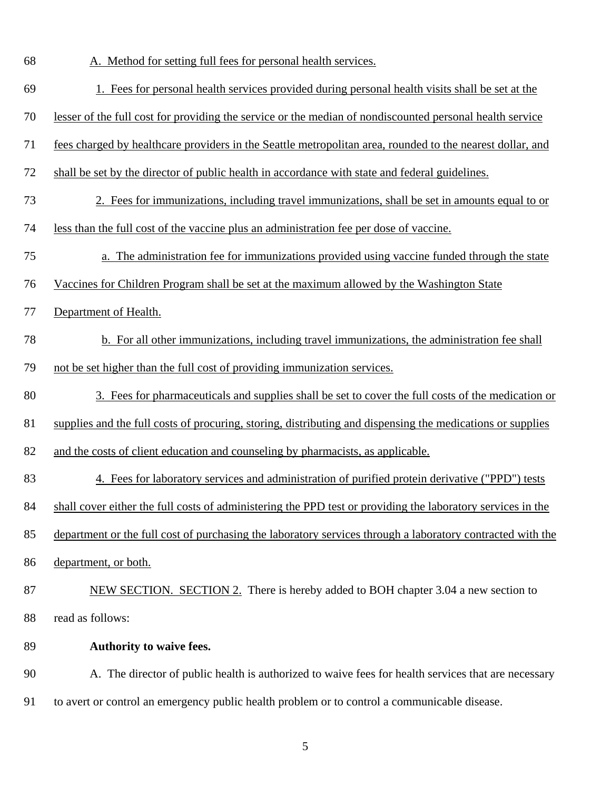68 A. Method for setting full fees for personal health services.

| 69 | 1. Fees for personal health services provided during personal health visits shall be set at the             |
|----|-------------------------------------------------------------------------------------------------------------|
| 70 | lesser of the full cost for providing the service or the median of nondiscounted personal health service    |
| 71 | fees charged by healthcare providers in the Seattle metropolitan area, rounded to the nearest dollar, and   |
| 72 | shall be set by the director of public health in accordance with state and federal guidelines.              |
| 73 | 2. Fees for immunizations, including travel immunizations, shall be set in amounts equal to or              |
| 74 | less than the full cost of the vaccine plus an administration fee per dose of vaccine.                      |
| 75 | a. The administration fee for immunizations provided using vaccine funded through the state                 |
| 76 | Vaccines for Children Program shall be set at the maximum allowed by the Washington State                   |
| 77 | Department of Health.                                                                                       |
| 78 | b. For all other immunizations, including travel immunizations, the administration fee shall                |
| 79 | not be set higher than the full cost of providing immunization services.                                    |
| 80 | 3. Fees for pharmaceuticals and supplies shall be set to cover the full costs of the medication or          |
| 81 | supplies and the full costs of procuring, storing, distributing and dispensing the medications or supplies  |
| 82 | and the costs of client education and counseling by pharmacists, as applicable.                             |
| 83 | 4. Fees for laboratory services and administration of purified protein derivative ("PPD") tests             |
| 84 | shall cover either the full costs of administering the PPD test or providing the laboratory services in the |
| 85 | department or the full cost of purchasing the laboratory services through a laboratory contracted with the  |
| 86 | department, or both.                                                                                        |
| 87 | NEW SECTION. SECTION 2. There is hereby added to BOH chapter 3.04 a new section to                          |
| 88 | read as follows:                                                                                            |
| 89 | Authority to waive fees.                                                                                    |
| 90 | A. The director of public health is authorized to waive fees for health services that are necessary         |
| 91 | to avert or control an emergency public health problem or to control a communicable disease.                |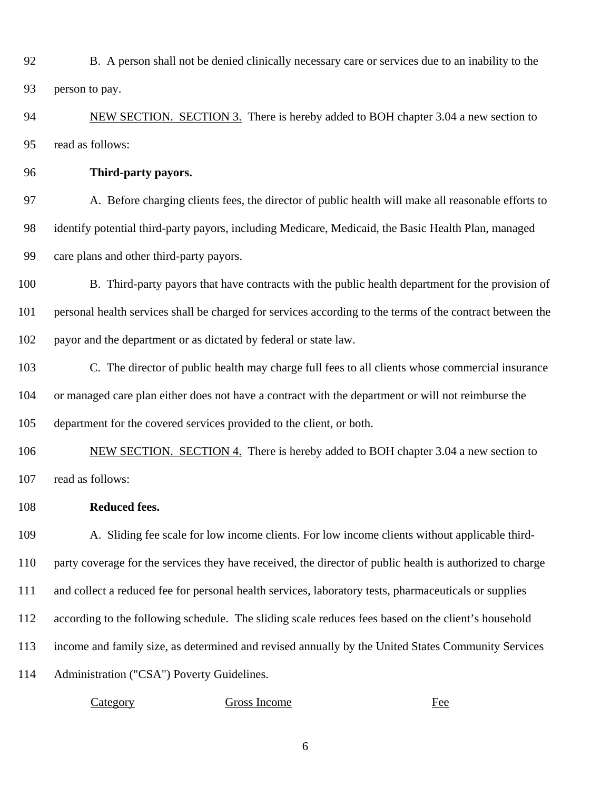92 93 B. A person shall not be denied clinically necessary care or services due to an inability to the person to pay.

NEW SECTION. SECTION 3. There is hereby added to BOH chapter 3.04 a new section to read as follows: 94 95

96 **Third-party payors.** 

97 98 99 A. Before charging clients fees, the director of public health will make all reasonable efforts to identify potential third-party payors, including Medicare, Medicaid, the Basic Health Plan, managed care plans and other third-party payors.

100 101 102 B. Third-party payors that have contracts with the public health department for the provision of personal health services shall be charged for services according to the terms of the contract between the payor and the department or as dictated by federal or state law.

103 104 105 C. The director of public health may charge full fees to all clients whose commercial insurance or managed care plan either does not have a contract with the department or will not reimburse the department for the covered services provided to the client, or both.

NEW SECTION. SECTION 4. There is hereby added to BOH chapter 3.04 a new section to read as follows: 106 107

108 **Reduced fees.** 

109 110 111 112 113 114 A. Sliding fee scale for low income clients. For low income clients without applicable thirdparty coverage for the services they have received, the director of public health is authorized to charge and collect a reduced fee for personal health services, laboratory tests, pharmaceuticals or supplies according to the following schedule. The sliding scale reduces fees based on the client's household income and family size, as determined and revised annually by the United States Community Services Administration ("CSA") Poverty Guidelines.

Category Gross Income Fee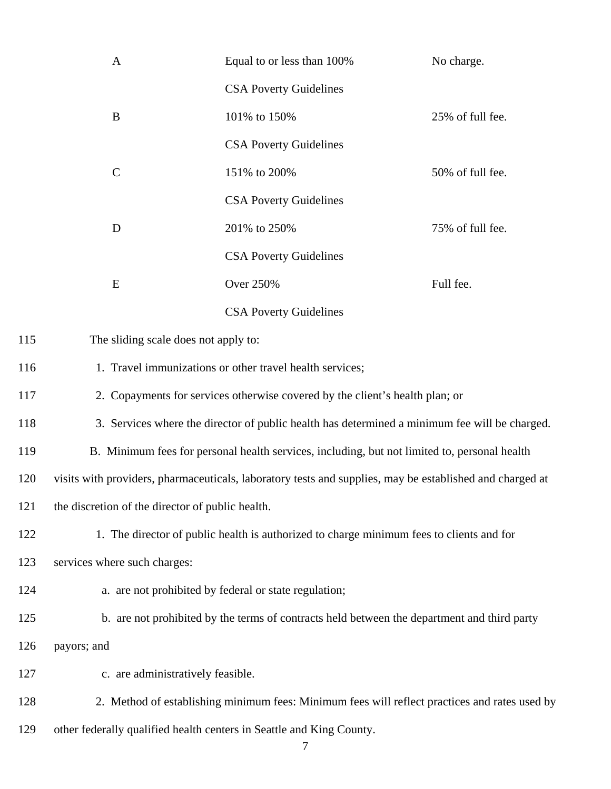| $\mathbf{A}$                                                                                             | Equal to or less than 100%    | No charge.       |  |  |
|----------------------------------------------------------------------------------------------------------|-------------------------------|------------------|--|--|
|                                                                                                          | <b>CSA Poverty Guidelines</b> |                  |  |  |
| B                                                                                                        | 101% to 150%                  | 25% of full fee. |  |  |
|                                                                                                          | <b>CSA Poverty Guidelines</b> |                  |  |  |
| $\mathcal{C}$                                                                                            | 151% to 200%                  | 50% of full fee. |  |  |
|                                                                                                          | <b>CSA Poverty Guidelines</b> |                  |  |  |
| D                                                                                                        | 201% to 250%                  | 75% of full fee. |  |  |
|                                                                                                          | <b>CSA Poverty Guidelines</b> |                  |  |  |
| E                                                                                                        | <b>Over 250%</b>              | Full fee.        |  |  |
|                                                                                                          | <b>CSA Poverty Guidelines</b> |                  |  |  |
| The sliding scale does not apply to:                                                                     |                               |                  |  |  |
| 1. Travel immunizations or other travel health services;                                                 |                               |                  |  |  |
| 2. Copayments for services otherwise covered by the client's health plan; or                             |                               |                  |  |  |
| 3. Services where the director of public health has determined a minimum fee will be charged.            |                               |                  |  |  |
| B. Minimum fees for personal health services, including, but not limited to, personal health             |                               |                  |  |  |
| visits with providers, pharmaceuticals, laboratory tests and supplies, may be established and charged at |                               |                  |  |  |
| the discretion of the director of public health.                                                         |                               |                  |  |  |
| 1. The director of public health is authorized to charge minimum fees to clients and for                 |                               |                  |  |  |
| services where such charges:                                                                             |                               |                  |  |  |
| a. are not prohibited by federal or state regulation;                                                    |                               |                  |  |  |
| b. are not prohibited by the terms of contracts held between the department and third party              |                               |                  |  |  |
| payors; and                                                                                              |                               |                  |  |  |
| c. are administratively feasible.                                                                        |                               |                  |  |  |
| 2. Method of establishing minimum fees: Minimum fees will reflect practices and rates used by            |                               |                  |  |  |
| other federally qualified health centers in Seattle and King County.                                     |                               |                  |  |  |

115

116

117

118

119

120

121

122

123

124

125

126

127

128

129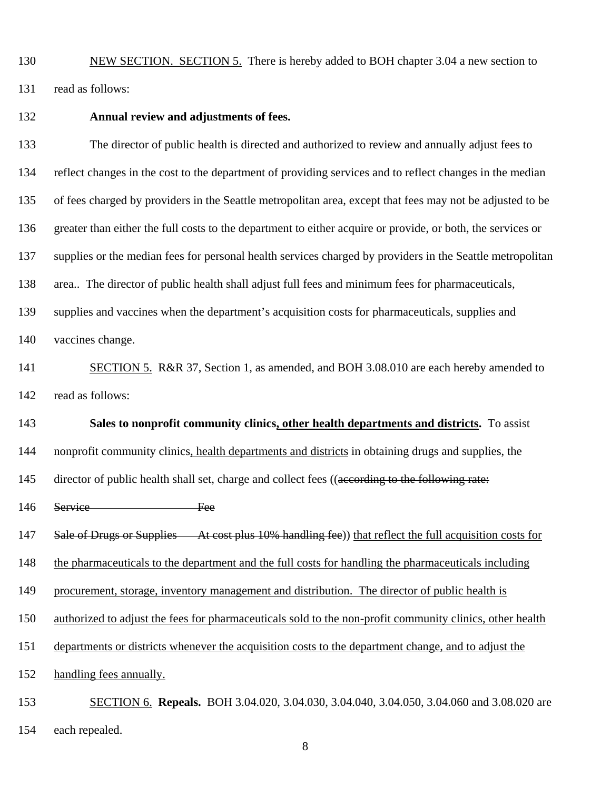130

131

NEW SECTION. SECTION 5. There is hereby added to BOH chapter 3.04 a new section to read as follows:

132

## **Annual review and adjustments of fees.**

133 134 135 136 137 138 139 140 The director of public health is directed and authorized to review and annually adjust fees to reflect changes in the cost to the department of providing services and to reflect changes in the median of fees charged by providers in the Seattle metropolitan area, except that fees may not be adjusted to be greater than either the full costs to the department to either acquire or provide, or both, the services or supplies or the median fees for personal health services charged by providers in the Seattle metropolitan area.. The director of public health shall adjust full fees and minimum fees for pharmaceuticals, supplies and vaccines when the department's acquisition costs for pharmaceuticals, supplies and vaccines change. SECTION 5. R&R 37, Section 1, as amended, and BOH 3.08.010 are each hereby amended to read as follows: 141 142 **Sales to nonprofit community clinics, other health departments and districts.** To assist nonprofit community clinics, health departments and districts in obtaining drugs and supplies, the 143 145 director of public health shall set, charge and collect fees ((according to the following rate: 144

- 146 Service Fee
- 147 Sale of Drugs or Supplies At cost plus 10% handling fee) that reflect the full acquisition costs for
- 148 the pharmaceuticals to the department and the full costs for handling the pharmaceuticals including
- 149 procurement, storage, inventory management and distribution. The director of public health is
- 150 authorized to adjust the fees for pharmaceuticals sold to the non-profit community clinics, other health
- 151 departments or districts whenever the acquisition costs to the department change, and to adjust the
- 152 handling fees annually.
- SECTION 6. **Repeals.** BOH 3.04.020, 3.04.030, 3.04.040, 3.04.050, 3.04.060 and 3.08.020 are 153
- each repealed. 154